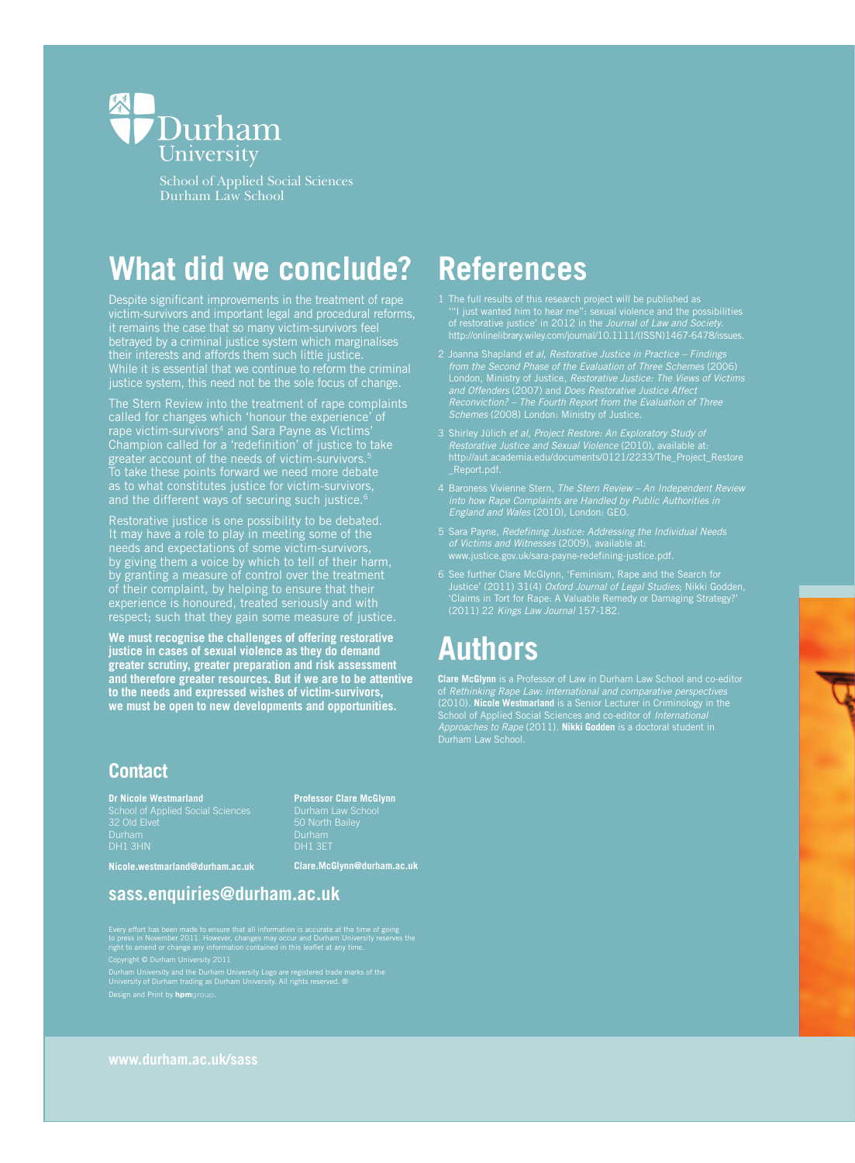

School of Applied Social Sciences Durham Law School

# **What did we conclude?**

Despite significant improvements in the treatment of rape victim-survivors and important legal and procedural reforms, it remains the case that so many victim-survivors feel betrayed by a criminal justice system which marginalises their interests and affords them such little justice. While it is essential that we continue to reform the criminal justice system, this need not be the sole focus of change.

The Stern Review into the treatment of rape complaints called for changes which 'honour the experience' of rape victim-survivors<sup>4</sup> and Sara Payne as Victims' Champion called for a 'redefinition' of justice to take greater account of the needs of victim-survivors.<sup>5</sup> To take these points forward we need more debate as to what constitutes justice for victim-survivors, and the different ways of securing such justice.<sup>6</sup>

Restorative justice is one possibility to be debated. It may have a role to play in meeting some of the needs and expectations of some victim-survivors, by giving them a voice by which to tell of their harm, by granting a measure of control over the treatment of their complaint, by helping to ensure that their experience is honoured, treated seriously and with respect; such that they gain some measure of justice.

**We must recognise the challenges of offering restorative justice in cases of sexual violence as they do demand greater scrutiny, greater preparation and risk assessment and therefore greater resources. But if we are to be attentive to the needs and expressed wishes of victim-survivors, we must be open to new developments and opportunities.** 

### **References**

- 1 The full results of this research project will be published as '"I just wanted him to hear me": sexual violence and the possibilities of restorative justice' in 2012 in the Journal of Law and Society.
- 2 Joanna Shapland et al, Restorative Justice in Practice Findings from the Second Phase of the Evaluation of Three Schemes (2006) London, Ministry of Justice, Restorative Justice: The Views of Victims and Offenders (2007) and Does Restorative Justice Affect Reconviction? – The Fourth Report from the Evaluation of Three Schemes (2008) London: Ministry of Justice.
- 3 Shirley Jülich et al, Project Restore: An Exploratory Study of Restorative Justice and Sexual Violence (2010), available at: http://aut.academia.edu/documents/0121/2233/The\_Project\_Restore
- England and Wales (2010), London: GEO.
- 5 Sara Payne, Redefining Justice: Addressing the Individual Needs of Victims and Witnesses (2009), available at: www.justice.gov.uk/sara-payne-redefining-justice.pdf.
- 6 See further Clare McGlynn, 'Feminism, Rape and the Search for Justice' (2011) 31(4) Oxford Journal of Legal Studies; Nikki Godden, 'Claims in Tort for Rape: A Valuable Remedy or Damaging Strategy?' (2011) 22 Kings Law Journal 157-182.

### **Authors**

**Clare McGlynn** is a Professor of Law in Durham Law School and co-editor of Rethinking Rape Law: international and comparative perspectives (2010). **Nicole Westmarland** is a Senior Lecturer in Criminology in the School of Applied Social Sciences and co-editor of International Approaches to Rape (2011). **Nikki Godden** is a doctoral student in Durham Law School.

### **Contact**

**Dr Nicole Westmarland** School of Applied Social Sciences 32 Old Elvet Durham DH1 3HN

**Professor Clare McGlynn** DH1 3ET

**Nicole.westmarland@durham.ac.uk** 

**Clare.McGlynn@durham.ac.uk** 

### **sass.enquiries@durham.ac.uk**

Every effort has been made to ensure that all information is accurate at the time of going<br>to press in November 2011. However, changes may occur and Durham University reserves the<br>right to amend or change any information c

Copyright © Durham University 2011

Durham University and the Durham University Logo are registered trade marks of the University of Durham trading as Durham University. All rights reserved. ® Design and Print by **hpm**group.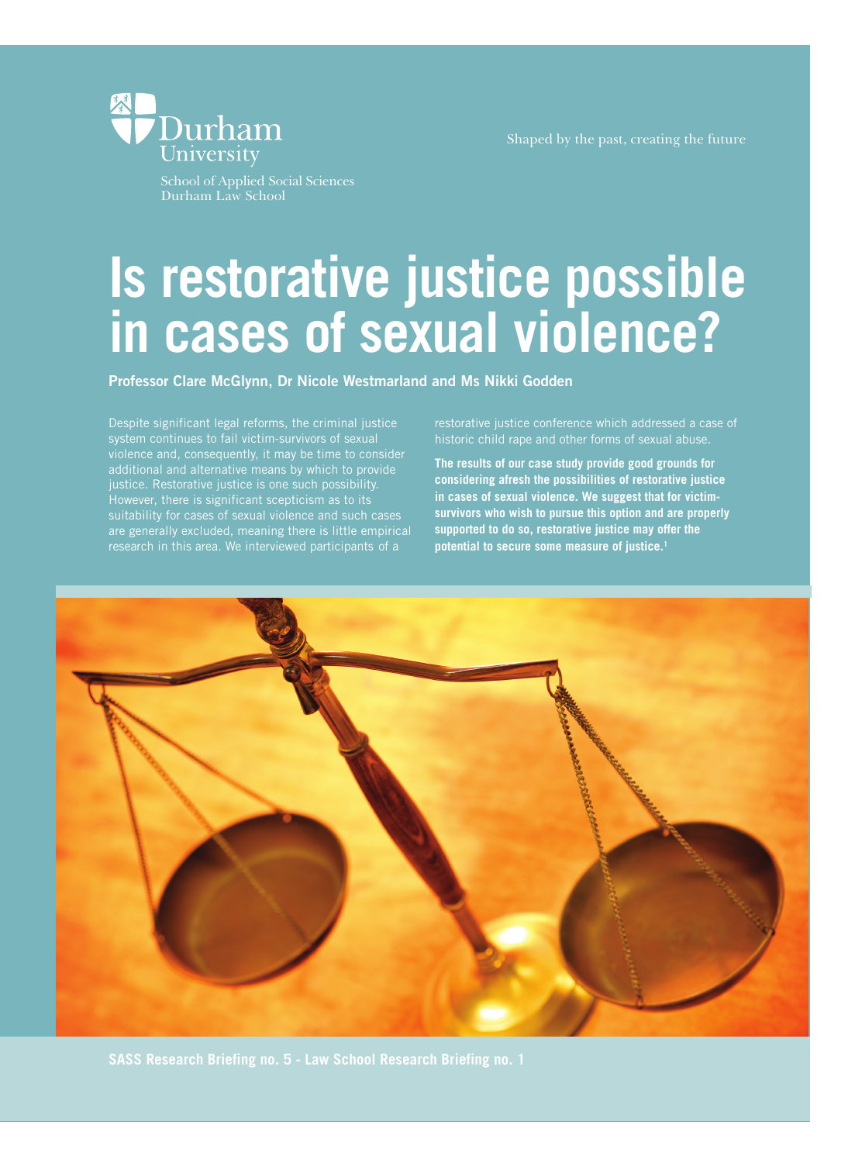Shaped by the past, creating the future



School of Applied Social Sciences Durham Law School

# **Is restorative justice possible in cases of sexual violence?**

**Professor Clare McGlynn, Dr Nicole Westmarland and Ms Nikki Godden**

Despite significant legal reforms, the criminal justice system continues to fail victim-survivors of sexual violence and, consequently, it may be time to consider additional and alternative means by which to provide justice. Restorative justice is one such possibility. However, there is significant scepticism as to its suitability for cases of sexual violence and such cases are generally excluded, meaning there is little empirical research in this area. We interviewed participants of a

restorative justice conference which addressed a case of historic child rape and other forms of sexual abuse.

**The results of our case study provide good grounds for considering afresh the possibilities of restorative justice in cases of sexual violence. We suggest that for victimsurvivors who wish to pursue this option and are properly supported to do so, restorative justice may offer the potential to secure some measure of justice.1**

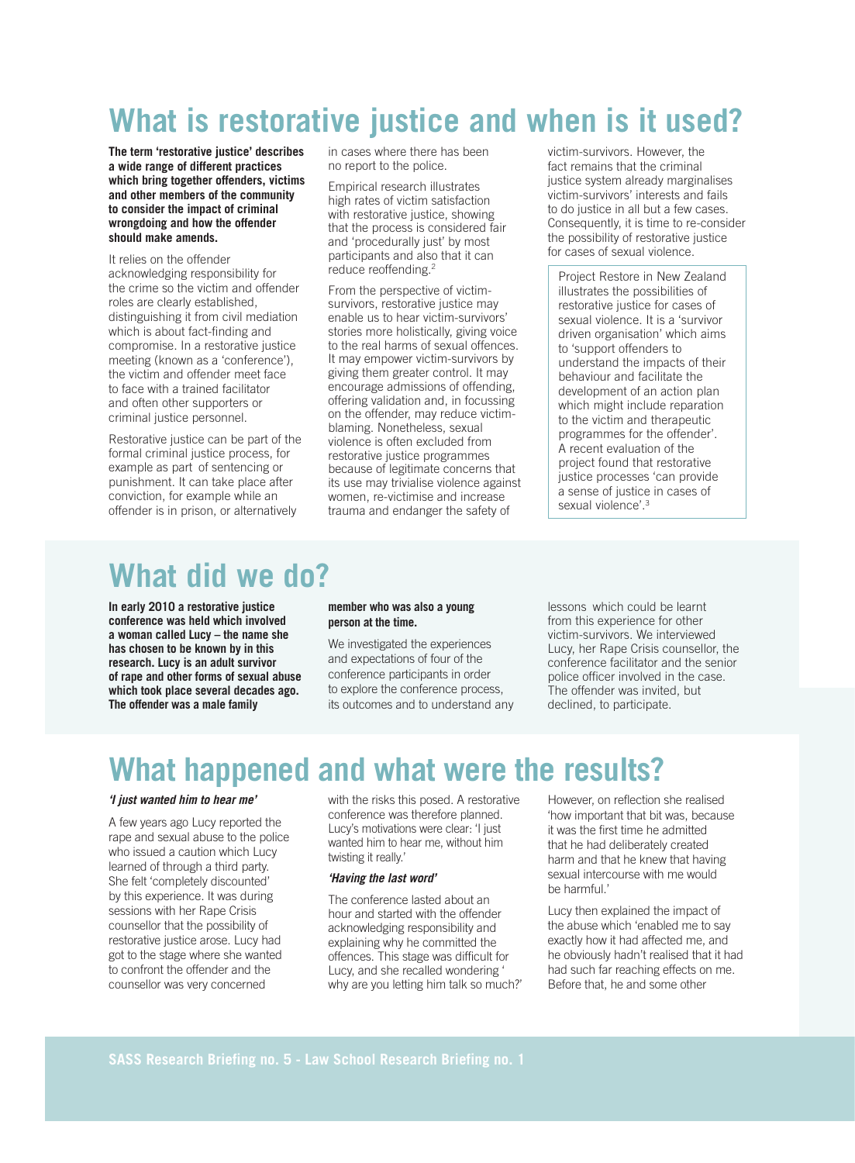# **What is restorative justice and when is it used?**

**The term 'restorative justice' describes a wide range of different practices which bring together offenders, victims and other members of the community to consider the impact of criminal wrongdoing and how the offender should make amends.**

It relies on the offender acknowledging responsibility for the crime so the victim and offender roles are clearly established, distinguishing it from civil mediation which is about fact-finding and compromise. In a restorative justice meeting (known as a 'conference'), the victim and offender meet face to face with a trained facilitator and often other supporters or criminal justice personnel.

Restorative justice can be part of the formal criminal justice process, for example as part of sentencing or punishment. It can take place after conviction, for example while an offender is in prison, or alternatively

in cases where there has been no report to the police.

Empirical research illustrates high rates of victim satisfaction with restorative justice, showing that the process is considered fair and 'procedurally just' by most participants and also that it can reduce reoffending.2

From the perspective of victimsurvivors, restorative justice may enable us to hear victim-survivors' stories more holistically, giving voice to the real harms of sexual offences. It may empower victim-survivors by giving them greater control. It may encourage admissions of offending, offering validation and, in focussing on the offender, may reduce victimblaming. Nonetheless, sexual violence is often excluded from restorative justice programmes because of legitimate concerns that its use may trivialise violence against women, re-victimise and increase trauma and endanger the safety of

victim-survivors. However, the fact remains that the criminal justice system already marginalises victim-survivors' interests and fails to do justice in all but a few cases. Consequently, it is time to re-consider the possibility of restorative justice for cases of sexual violence.

Project Restore in New Zealand illustrates the possibilities of restorative justice for cases of sexual violence. It is a 'survivor driven organisation' which aims to 'support offenders to understand the impacts of their behaviour and facilitate the development of an action plan which might include reparation to the victim and therapeutic programmes for the offender'. A recent evaluation of the project found that restorative justice processes 'can provide a sense of justice in cases of sexual violence'.<sup>3</sup>

### **What did we do?**

**In early 2010 a restorative justice conference was held which involved a woman called Lucy – the name she has chosen to be known by in this research. Lucy is an adult survivor of rape and other forms of sexual abuse which took place several decades ago. The offender was a male family** 

#### **member who was also a young person at the time.**

We investigated the experiences and expectations of four of the conference participants in order to explore the conference process, its outcomes and to understand any

lessons which could be learnt from this experience for other victim-survivors. We interviewed Lucy, her Rape Crisis counsellor, the conference facilitator and the senior police officer involved in the case. The offender was invited, but declined, to participate.

### **What happened and what were the results?**

#### **'I just wanted him to hear me'**

A few years ago Lucy reported the rape and sexual abuse to the police who issued a caution which Lucy learned of through a third party. She felt 'completely discounted' by this experience. It was during sessions with her Rape Crisis counsellor that the possibility of restorative justice arose. Lucy had got to the stage where she wanted to confront the offender and the counsellor was very concerned

with the risks this posed. A restorative conference was therefore planned. Lucy's motivations were clear: 'I just wanted him to hear me, without him twisting it really.'

#### **'Having the last word'**

The conference lasted about an hour and started with the offender acknowledging responsibility and explaining why he committed the offences. This stage was difficult for Lucy, and she recalled wondering ' why are you letting him talk so much?'

However, on reflection she realised 'how important that bit was, because it was the first time he admitted that he had deliberately created harm and that he knew that having sexual intercourse with me would be harmful.'

Lucy then explained the impact of the abuse which 'enabled me to say exactly how it had affected me, and he obviously hadn't realised that it had had such far reaching effects on me. Before that, he and some other